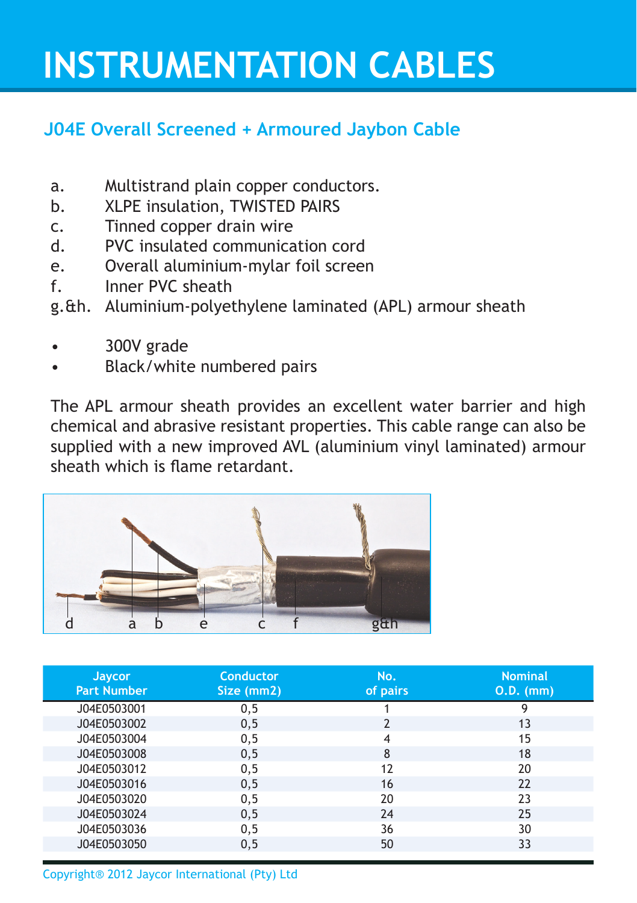# **INSTRUMENTATION CABLES**

### **J04E Overall Screened + Armoured Jaybon Cable**

- a. Multistrand plain copper conductors.
- b. XLPE insulation, TWISTED PAIRS
- c. Tinned copper drain wire
- d. PVC insulated communication cord
- e. Overall aluminium-mylar foil screen
- f. Inner PVC sheath
- g.&h. Aluminium-polyethylene laminated (APL) armour sheath
- 300V grade
- Black/white numbered pairs

The APL armour sheath provides an excellent water barrier and high chemical and abrasive resistant properties. This cable range can also be supplied with a new improved AVL (aluminium vinyl laminated) armour sheath which is flame retardant.



| Jaycor<br><b>Part Number</b> | Conductor<br>Size (mm2) | No.<br>of pairs | <b>Nominal</b><br><b>0.D.</b> (mm) |
|------------------------------|-------------------------|-----------------|------------------------------------|
| J04E0503001                  | 0, 5                    |                 | q                                  |
| J04E0503002                  | 0, 5                    | $\overline{2}$  | 13                                 |
| J04E0503004                  | 0, 5                    | 4               | 15                                 |
| J04E0503008                  | 0, 5                    | 8               | 18                                 |
| J04E0503012                  | 0,5                     | 12              | 20                                 |
| J04E0503016                  | 0, 5                    | 16              | 22                                 |
| J04E0503020                  | 0,5                     | 20              | 23                                 |
| J04E0503024                  | 0,5                     | 24              | 25                                 |
| J04E0503036                  | 0,5                     | 36              | 30                                 |
| J04E0503050                  | 0, 5                    | 50              | 33                                 |